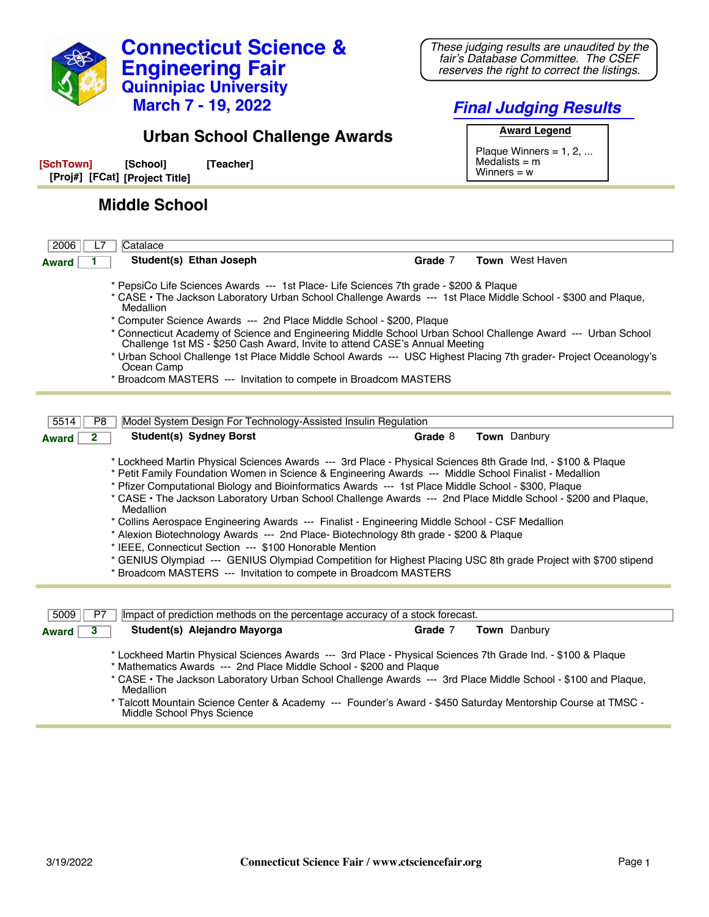

**Connecticut Science &**

**Engineering Fair**

*These judging results are unaudited by the fair's Database Committee. The CSEF reserves the right to correct the listings.*

Middle School Phys Science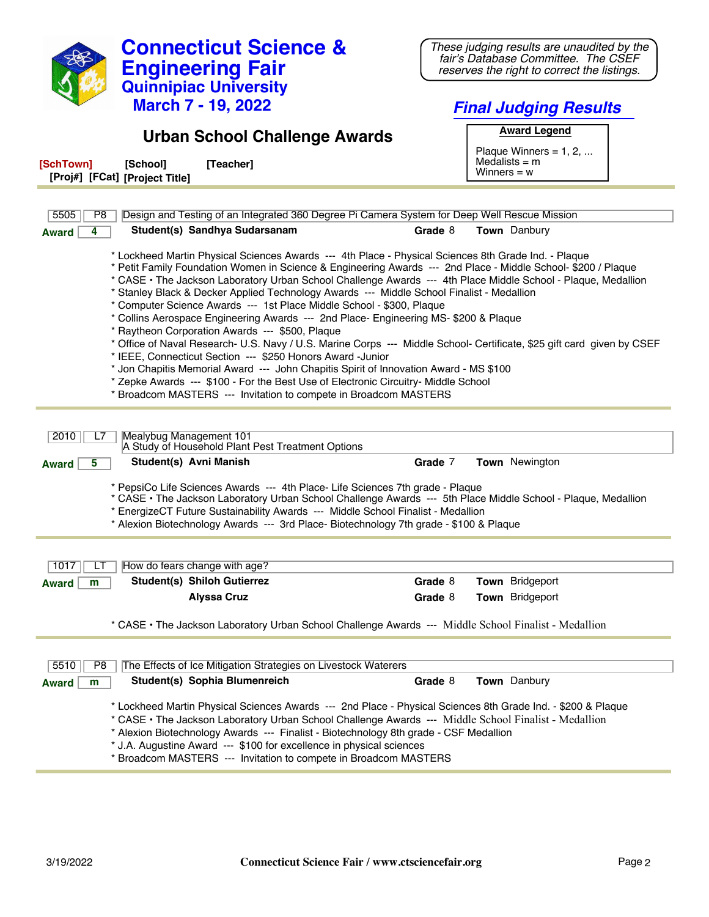| <b>Connecticut Science &amp;</b>                                                                                                                                                                                                                                                                                                                                                                                                                                                                                                                                                                                                                                                                                                                                                                                                                                                                                                                                                                                                                                                                                                                                                                 | These judging results are unaudited by the<br>fair's Database Committee. The CSEF |  |
|--------------------------------------------------------------------------------------------------------------------------------------------------------------------------------------------------------------------------------------------------------------------------------------------------------------------------------------------------------------------------------------------------------------------------------------------------------------------------------------------------------------------------------------------------------------------------------------------------------------------------------------------------------------------------------------------------------------------------------------------------------------------------------------------------------------------------------------------------------------------------------------------------------------------------------------------------------------------------------------------------------------------------------------------------------------------------------------------------------------------------------------------------------------------------------------------------|-----------------------------------------------------------------------------------|--|
| <b>Engineering Fair</b>                                                                                                                                                                                                                                                                                                                                                                                                                                                                                                                                                                                                                                                                                                                                                                                                                                                                                                                                                                                                                                                                                                                                                                          | reserves the right to correct the listings.                                       |  |
| <b>Quinnipiac University</b>                                                                                                                                                                                                                                                                                                                                                                                                                                                                                                                                                                                                                                                                                                                                                                                                                                                                                                                                                                                                                                                                                                                                                                     |                                                                                   |  |
| <b>March 7 - 19, 2022</b>                                                                                                                                                                                                                                                                                                                                                                                                                                                                                                                                                                                                                                                                                                                                                                                                                                                                                                                                                                                                                                                                                                                                                                        | <b>Final Judging Results</b>                                                      |  |
| <b>Urban School Challenge Awards</b>                                                                                                                                                                                                                                                                                                                                                                                                                                                                                                                                                                                                                                                                                                                                                                                                                                                                                                                                                                                                                                                                                                                                                             | <b>Award Legend</b>                                                               |  |
|                                                                                                                                                                                                                                                                                                                                                                                                                                                                                                                                                                                                                                                                                                                                                                                                                                                                                                                                                                                                                                                                                                                                                                                                  | Plaque Winners = $1, 2, $                                                         |  |
| [SchTown]<br>[Teacher]<br>[School]<br>[Proj#] [FCat] [Project Title]                                                                                                                                                                                                                                                                                                                                                                                                                                                                                                                                                                                                                                                                                                                                                                                                                                                                                                                                                                                                                                                                                                                             | Medalists $=$ m<br>Winners $= w$                                                  |  |
|                                                                                                                                                                                                                                                                                                                                                                                                                                                                                                                                                                                                                                                                                                                                                                                                                                                                                                                                                                                                                                                                                                                                                                                                  |                                                                                   |  |
| Design and Testing of an Integrated 360 Degree Pi Camera System for Deep Well Rescue Mission<br>5505<br>P8                                                                                                                                                                                                                                                                                                                                                                                                                                                                                                                                                                                                                                                                                                                                                                                                                                                                                                                                                                                                                                                                                       |                                                                                   |  |
| Student(s) Sandhya Sudarsanam<br>4<br><b>Award</b>                                                                                                                                                                                                                                                                                                                                                                                                                                                                                                                                                                                                                                                                                                                                                                                                                                                                                                                                                                                                                                                                                                                                               | Town Danbury<br>Grade 8                                                           |  |
| * Lockheed Martin Physical Sciences Awards --- 4th Place - Physical Sciences 8th Grade Ind. - Plaque<br>* Petit Family Foundation Women in Science & Engineering Awards --- 2nd Place - Middle School- \$200 / Plaque<br>* CASE · The Jackson Laboratory Urban School Challenge Awards --- 4th Place Middle School - Plaque, Medallion<br>* Stanley Black & Decker Applied Technology Awards --- Middle School Finalist - Medallion<br>* Computer Science Awards --- 1st Place Middle School - \$300, Plaque<br>* Collins Aerospace Engineering Awards --- 2nd Place- Engineering MS- \$200 & Plaque<br>* Raytheon Corporation Awards --- \$500, Plaque<br>* Office of Naval Research- U.S. Navy / U.S. Marine Corps --- Middle School- Certificate, \$25 gift card given by CSEF<br>* IEEE, Connecticut Section --- \$250 Honors Award -Junior<br>* Jon Chapitis Memorial Award --- John Chapitis Spirit of Innovation Award - MS \$100<br>* Zepke Awards --- \$100 - For the Best Use of Electronic Circuitry- Middle School<br>* Broadcom MASTERS --- Invitation to compete in Broadcom MASTERS<br>Mealybug Management 101<br>2010<br>L7<br>A Study of Household Plant Pest Treatment Options |                                                                                   |  |
| Student(s) Avni Manish<br>5<br><b>Award</b>                                                                                                                                                                                                                                                                                                                                                                                                                                                                                                                                                                                                                                                                                                                                                                                                                                                                                                                                                                                                                                                                                                                                                      | Grade 7<br>Town Newington                                                         |  |
| * PepsiCo Life Sciences Awards --- 4th Place- Life Sciences 7th grade - Plaque<br>* CASE • The Jackson Laboratory Urban School Challenge Awards --- 5th Place Middle School - Plaque, Medallion<br>* EnergizeCT Future Sustainability Awards --- Middle School Finalist - Medallion<br>* Alexion Biotechnology Awards --- 3rd Place- Biotechnology 7th grade - \$100 & Plaque                                                                                                                                                                                                                                                                                                                                                                                                                                                                                                                                                                                                                                                                                                                                                                                                                    |                                                                                   |  |
| 1017<br>How do fears change with age?                                                                                                                                                                                                                                                                                                                                                                                                                                                                                                                                                                                                                                                                                                                                                                                                                                                                                                                                                                                                                                                                                                                                                            |                                                                                   |  |
| Student(s) Shiloh Gutierrez<br><b>Award</b><br>m                                                                                                                                                                                                                                                                                                                                                                                                                                                                                                                                                                                                                                                                                                                                                                                                                                                                                                                                                                                                                                                                                                                                                 | Grade 8<br>Town Bridgeport                                                        |  |
| <b>Alyssa Cruz</b>                                                                                                                                                                                                                                                                                                                                                                                                                                                                                                                                                                                                                                                                                                                                                                                                                                                                                                                                                                                                                                                                                                                                                                               | Grade 8<br>Town Bridgeport                                                        |  |
| * CASE • The Jackson Laboratory Urban School Challenge Awards --- Middle School Finalist - Medallion                                                                                                                                                                                                                                                                                                                                                                                                                                                                                                                                                                                                                                                                                                                                                                                                                                                                                                                                                                                                                                                                                             |                                                                                   |  |
| 5510<br>The Effects of Ice Mitigation Strategies on Livestock Waterers<br>P <sub>8</sub>                                                                                                                                                                                                                                                                                                                                                                                                                                                                                                                                                                                                                                                                                                                                                                                                                                                                                                                                                                                                                                                                                                         |                                                                                   |  |
| Student(s) Sophia Blumenreich<br><b>Award</b><br>m                                                                                                                                                                                                                                                                                                                                                                                                                                                                                                                                                                                                                                                                                                                                                                                                                                                                                                                                                                                                                                                                                                                                               | Grade 8<br>Town Danbury                                                           |  |
| * Lockheed Martin Physical Sciences Awards --- 2nd Place - Physical Sciences 8th Grade Ind. - \$200 & Plaque<br>* CASE · The Jackson Laboratory Urban School Challenge Awards --- Middle School Finalist - Medallion<br>* Alexion Biotechnology Awards --- Finalist - Biotechnology 8th grade - CSF Medallion<br>* J.A. Augustine Award --- \$100 for excellence in physical sciences<br>* Broadcom MASTERS --- Invitation to compete in Broadcom MASTERS                                                                                                                                                                                                                                                                                                                                                                                                                                                                                                                                                                                                                                                                                                                                        |                                                                                   |  |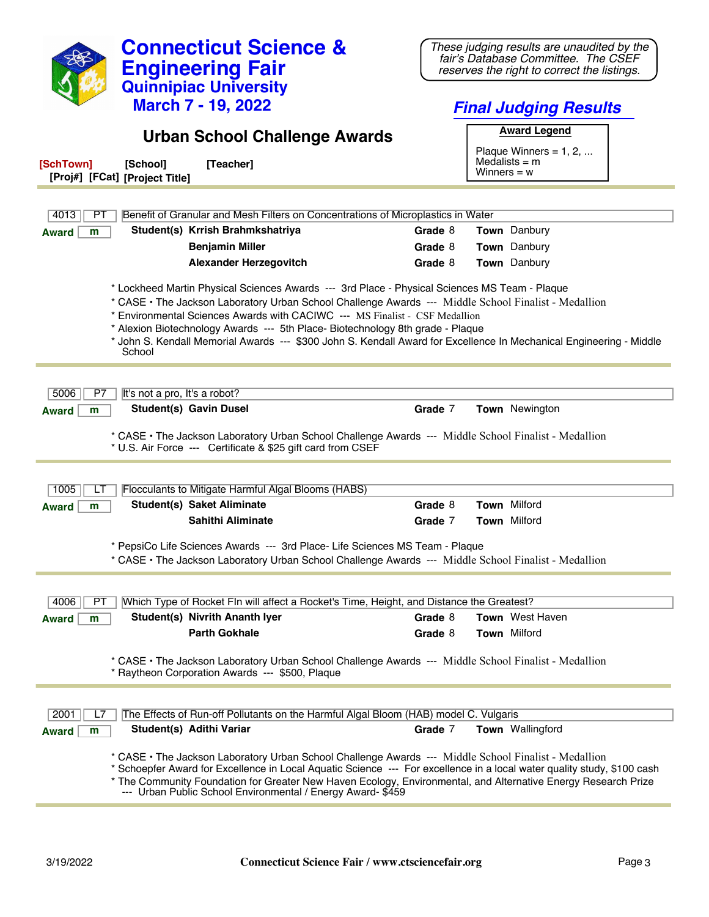| <b>Connecticut Science &amp;</b><br><b>Engineering Fair</b><br><b>Quinnipiac University</b>                                                                                                                                                                                                                                                                                                                                                                                                             | These judging results are unaudited by the<br>fair's Database Committee. The CSEF<br>reserves the right to correct the listings. |  |
|---------------------------------------------------------------------------------------------------------------------------------------------------------------------------------------------------------------------------------------------------------------------------------------------------------------------------------------------------------------------------------------------------------------------------------------------------------------------------------------------------------|----------------------------------------------------------------------------------------------------------------------------------|--|
| <b>March 7 - 19, 2022</b>                                                                                                                                                                                                                                                                                                                                                                                                                                                                               | <b>Final Judging Results</b>                                                                                                     |  |
| <b>Urban School Challenge Awards</b>                                                                                                                                                                                                                                                                                                                                                                                                                                                                    | <b>Award Legend</b>                                                                                                              |  |
| [SchTown]<br>[School]<br>[Teacher]<br>[Proj#] [FCat] [Project Title]                                                                                                                                                                                                                                                                                                                                                                                                                                    | Plaque Winners = $1, 2, $<br>Medalists $=$ m<br>Winners $= w$                                                                    |  |
|                                                                                                                                                                                                                                                                                                                                                                                                                                                                                                         |                                                                                                                                  |  |
| Benefit of Granular and Mesh Filters on Concentrations of Microplastics in Water<br>4013<br>PТ                                                                                                                                                                                                                                                                                                                                                                                                          |                                                                                                                                  |  |
| Student(s) Krrish Brahmkshatriya<br>m<br><b>Award</b>                                                                                                                                                                                                                                                                                                                                                                                                                                                   | Grade 8<br><b>Town</b> Danbury                                                                                                   |  |
| <b>Benjamin Miller</b>                                                                                                                                                                                                                                                                                                                                                                                                                                                                                  | Grade 8<br>Town Danbury                                                                                                          |  |
| <b>Alexander Herzegovitch</b>                                                                                                                                                                                                                                                                                                                                                                                                                                                                           | Town Danbury<br>Grade 8                                                                                                          |  |
| * Lockheed Martin Physical Sciences Awards --- 3rd Place - Physical Sciences MS Team - Plaque<br>* CASE • The Jackson Laboratory Urban School Challenge Awards --- Middle School Finalist - Medallion<br>* Environmental Sciences Awards with CACIWC --- MS Finalist - CSF Medallion<br>* Alexion Biotechnology Awards --- 5th Place- Biotechnology 8th grade - Plaque<br>* John S. Kendall Memorial Awards --- \$300 John S. Kendall Award for Excellence In Mechanical Engineering - Middle<br>School |                                                                                                                                  |  |
| 5006<br>It's not a pro, It's a robot?<br>P7<br><b>Student(s) Gavin Dusel</b><br>m<br><b>Award</b><br>* CASE • The Jackson Laboratory Urban School Challenge Awards --- Middle School Finalist - Medallion<br>* U.S. Air Force --- Certificate & \$25 gift card from CSEF                                                                                                                                                                                                                                | Grade 7<br>Town Newington                                                                                                        |  |
| Flocculants to Mitigate Harmful Algal Blooms (HABS)<br>1005<br>LT<br><b>Student(s) Saket Aliminate</b><br>m<br><b>Award</b>                                                                                                                                                                                                                                                                                                                                                                             | Town Milford<br>Grade 8                                                                                                          |  |
| Sahithi Aliminate                                                                                                                                                                                                                                                                                                                                                                                                                                                                                       | Grade 7<br><b>Town Milford</b>                                                                                                   |  |
| * PepsiCo Life Sciences Awards --- 3rd Place- Life Sciences MS Team - Plaque<br>* CASE . The Jackson Laboratory Urban School Challenge Awards --- Middle School Finalist - Medallion                                                                                                                                                                                                                                                                                                                    |                                                                                                                                  |  |
| Which Type of Rocket FIn will affect a Rocket's Time, Height, and Distance the Greatest?<br>4006<br>PТ                                                                                                                                                                                                                                                                                                                                                                                                  |                                                                                                                                  |  |
| Student(s) Nivrith Ananth Iyer<br><b>Award</b><br>m                                                                                                                                                                                                                                                                                                                                                                                                                                                     | <b>Town</b> West Haven<br>Grade 8                                                                                                |  |
| <b>Parth Gokhale</b>                                                                                                                                                                                                                                                                                                                                                                                                                                                                                    | Grade 8<br><b>Town Milford</b>                                                                                                   |  |
| * CASE • The Jackson Laboratory Urban School Challenge Awards --- Middle School Finalist - Medallion<br>* Raytheon Corporation Awards --- \$500, Plaque                                                                                                                                                                                                                                                                                                                                                 |                                                                                                                                  |  |
| The Effects of Run-off Pollutants on the Harmful Algal Bloom (HAB) model C. Vulgaris<br>2001<br>L7<br>Student(s) Adithi Variar<br><b>Award</b><br>m                                                                                                                                                                                                                                                                                                                                                     | Grade 7<br>Town Wallingford                                                                                                      |  |
| * CASE • The Jackson Laboratory Urban School Challenge Awards --- Middle School Finalist - Medallion<br>* Schoepfer Award for Excellence in Local Aquatic Science --- For excellence in a local water quality study, \$100 cash<br>* The Community Foundation for Greater New Haven Ecology, Environmental, and Alternative Energy Research Prize<br>--- Urban Public School Environmental / Energy Award- \$459                                                                                        |                                                                                                                                  |  |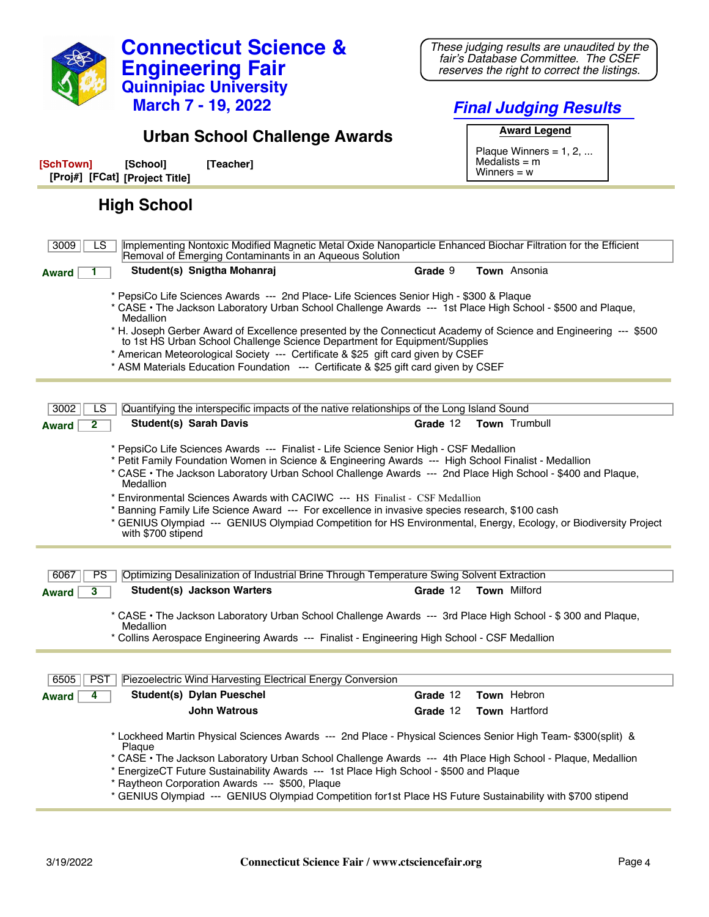| <b>Connecticut Science &amp;</b><br><b>Engineering Fair</b><br><b>Quinnipiac University</b><br><b>March 7 - 19, 2022</b>                                                                                                                                                                                                                                                                                                                                                                                                                                                                                                                               | These judging results are unaudited by the<br>fair's Database Committee. The CSEF<br>reserves the right to correct the listings.<br><b>Final Judging Results</b> |
|--------------------------------------------------------------------------------------------------------------------------------------------------------------------------------------------------------------------------------------------------------------------------------------------------------------------------------------------------------------------------------------------------------------------------------------------------------------------------------------------------------------------------------------------------------------------------------------------------------------------------------------------------------|------------------------------------------------------------------------------------------------------------------------------------------------------------------|
| <b>Urban School Challenge Awards</b>                                                                                                                                                                                                                                                                                                                                                                                                                                                                                                                                                                                                                   | <b>Award Legend</b>                                                                                                                                              |
| [SchTown]<br>[Teacher]<br>[School]<br>[Proj#] [FCat] [Project Title]                                                                                                                                                                                                                                                                                                                                                                                                                                                                                                                                                                                   | Plaque Winners = $1, 2, $<br>Medalists $=$ m<br>Winners $= w$                                                                                                    |
| <b>High School</b>                                                                                                                                                                                                                                                                                                                                                                                                                                                                                                                                                                                                                                     |                                                                                                                                                                  |
| Implementing Nontoxic Modified Magnetic Metal Oxide Nanoparticle Enhanced Biochar Filtration for the Efficient<br>3009<br>LS.<br>Removal of Emerging Contaminants in an Aqueous Solution                                                                                                                                                                                                                                                                                                                                                                                                                                                               |                                                                                                                                                                  |
| Student(s) Snigtha Mohanraj<br><b>Award</b>                                                                                                                                                                                                                                                                                                                                                                                                                                                                                                                                                                                                            | Town Ansonia<br>Grade 9                                                                                                                                          |
| * PepsiCo Life Sciences Awards --- 2nd Place- Life Sciences Senior High - \$300 & Plaque<br>* CASE • The Jackson Laboratory Urban School Challenge Awards --- 1st Place High School - \$500 and Plaque,<br>Medallion<br>* H. Joseph Gerber Award of Excellence presented by the Connecticut Academy of Science and Engineering --- \$500<br>to 1st HS Urban School Challenge Science Department for Equipment/Supplies<br>* American Meteorological Society --- Certificate & \$25 gift card given by CSEF<br>* ASM Materials Education Foundation --- Certificate & \$25 gift card given by CSEF                                                      |                                                                                                                                                                  |
|                                                                                                                                                                                                                                                                                                                                                                                                                                                                                                                                                                                                                                                        |                                                                                                                                                                  |
| 3002<br>LS<br>Quantifying the interspecific impacts of the native relationships of the Long Island Sound<br><b>Student(s) Sarah Davis</b><br>$\mathbf{2}$<br><b>Award</b>                                                                                                                                                                                                                                                                                                                                                                                                                                                                              | Town Trumbull<br>Grade 12                                                                                                                                        |
| * PepsiCo Life Sciences Awards --- Finalist - Life Science Senior High - CSF Medallion<br>* Petit Family Foundation Women in Science & Engineering Awards --- High School Finalist - Medallion<br>* CASE • The Jackson Laboratory Urban School Challenge Awards --- 2nd Place High School - \$400 and Plaque,<br>Medallion<br>* Environmental Sciences Awards with CACIWC --- HS Finalist - CSF Medallion<br>* Banning Family Life Science Award --- For excellence in invasive species research, \$100 cash<br>* GENIUS Olympiad --- GENIUS Olympiad Competition for HS Environmental, Energy, Ecology, or Biodiversity Project<br>with \$700 stipend |                                                                                                                                                                  |
|                                                                                                                                                                                                                                                                                                                                                                                                                                                                                                                                                                                                                                                        |                                                                                                                                                                  |
| Optimizing Desalinization of Industrial Brine Through Temperature Swing Solvent Extraction<br>PS<br>6067                                                                                                                                                                                                                                                                                                                                                                                                                                                                                                                                               |                                                                                                                                                                  |
| <b>Student(s) Jackson Warters</b><br>3<br><b>Award</b>                                                                                                                                                                                                                                                                                                                                                                                                                                                                                                                                                                                                 | Grade 12<br><b>Town Milford</b>                                                                                                                                  |
| * CASE • The Jackson Laboratory Urban School Challenge Awards --- 3rd Place High School - \$300 and Plaque,<br>Medallion<br>* Collins Aerospace Engineering Awards --- Finalist - Engineering High School - CSF Medallion                                                                                                                                                                                                                                                                                                                                                                                                                              |                                                                                                                                                                  |
| 6505<br><b>PST</b><br>Piezoelectric Wind Harvesting Electrical Energy Conversion                                                                                                                                                                                                                                                                                                                                                                                                                                                                                                                                                                       |                                                                                                                                                                  |
| Student(s) Dylan Pueschel<br><b>Award</b><br>4                                                                                                                                                                                                                                                                                                                                                                                                                                                                                                                                                                                                         | Town Hebron<br>Grade 12                                                                                                                                          |
| <b>John Watrous</b>                                                                                                                                                                                                                                                                                                                                                                                                                                                                                                                                                                                                                                    | Town Hartford<br>Grade 12                                                                                                                                        |
| * Lockheed Martin Physical Sciences Awards --- 2nd Place - Physical Sciences Senior High Team- \$300(split) &<br>Plaque<br>* CASE • The Jackson Laboratory Urban School Challenge Awards --- 4th Place High School - Plaque, Medallion<br>* EnergizeCT Future Sustainability Awards --- 1st Place High School - \$500 and Plaque<br>* Raytheon Corporation Awards --- \$500, Plaque                                                                                                                                                                                                                                                                    |                                                                                                                                                                  |
| * GENIUS Olympiad --- GENIUS Olympiad Competition for1st Place HS Future Sustainability with \$700 stipend                                                                                                                                                                                                                                                                                                                                                                                                                                                                                                                                             |                                                                                                                                                                  |